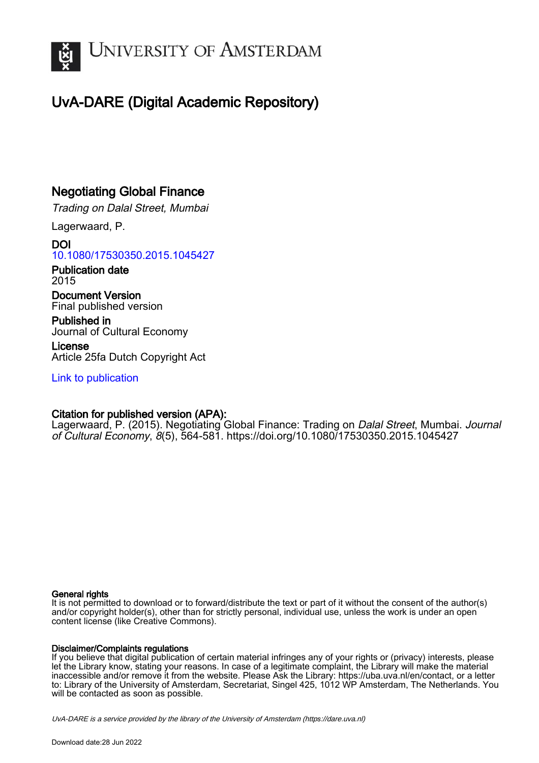

## UvA-DARE (Digital Academic Repository)

## Negotiating Global Finance

Trading on Dalal Street, Mumbai

Lagerwaard, P.

DOI [10.1080/17530350.2015.1045427](https://doi.org/10.1080/17530350.2015.1045427)

Publication date 2015

Document Version Final published version

Published in Journal of Cultural Economy

License Article 25fa Dutch Copyright Act

[Link to publication](https://dare.uva.nl/personal/pure/en/publications/negotiating-global-finance(b8485e6d-568b-481e-8d93-c0d771b6b588).html)

### Citation for published version (APA):

Lagerwaard, P. (2015). Negotiating Global Finance: Trading on Dalal Street, Mumbai. Journal of Cultural Economy, 8(5), 564-581.<https://doi.org/10.1080/17530350.2015.1045427>

#### General rights

It is not permitted to download or to forward/distribute the text or part of it without the consent of the author(s) and/or copyright holder(s), other than for strictly personal, individual use, unless the work is under an open content license (like Creative Commons).

#### Disclaimer/Complaints regulations

If you believe that digital publication of certain material infringes any of your rights or (privacy) interests, please let the Library know, stating your reasons. In case of a legitimate complaint, the Library will make the material inaccessible and/or remove it from the website. Please Ask the Library: https://uba.uva.nl/en/contact, or a letter to: Library of the University of Amsterdam, Secretariat, Singel 425, 1012 WP Amsterdam, The Netherlands. You will be contacted as soon as possible.

UvA-DARE is a service provided by the library of the University of Amsterdam (http*s*://dare.uva.nl)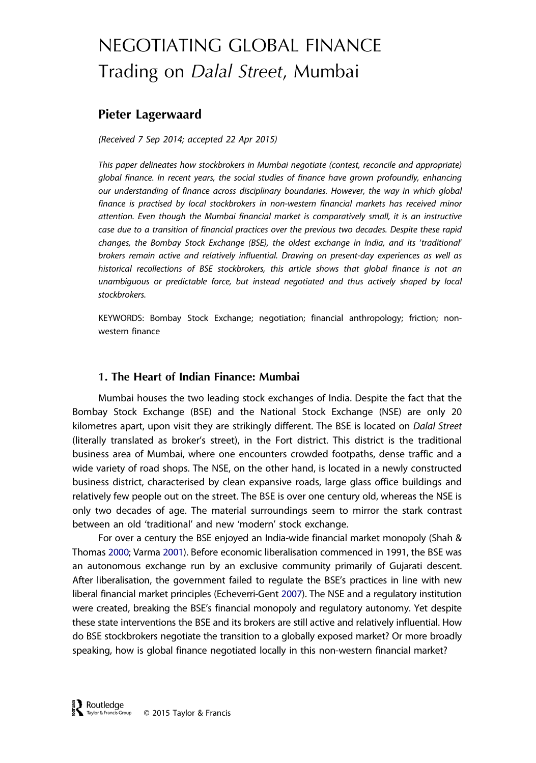# NEGOTIATING GLOBAL FINANCE Trading on Dalal Street, Mumbai

## Pieter Lagerwaard

(Received 7 Sep 2014; accepted 22 Apr 2015)

This paper delineates how stockbrokers in Mumbai negotiate (contest, reconcile and appropriate) global finance. In recent years, the social studies of finance have grown profoundly, enhancing our understanding of finance across disciplinary boundaries. However, the way in which global finance is practised by local stockbrokers in non-western financial markets has received minor attention. Even though the Mumbai financial market is comparatively small, it is an instructive case due to a transition of financial practices over the previous two decades. Despite these rapid changes, the Bombay Stock Exchange (BSE), the oldest exchange in India, and its 'traditional' brokers remain active and relatively influential. Drawing on present-day experiences as well as historical recollections of BSE stockbrokers, this article shows that global finance is not an unambiguous or predictable force, but instead negotiated and thus actively shaped by local stockbrokers.

KEYWORDS: Bombay Stock Exchange; negotiation; financial anthropology; friction; nonwestern finance

#### 1. The Heart of Indian Finance: Mumbai

Mumbai houses the two leading stock exchanges of India. Despite the fact that the Bombay Stock Exchange (BSE) and the National Stock Exchange (NSE) are only 20 kilometres apart, upon visit they are strikingly different. The BSE is located on Dalal Street (literally translated as broker's street), in the Fort district. This district is the traditional business area of Mumbai, where one encounters crowded footpaths, dense traffic and a wide variety of road shops. The NSE, on the other hand, is located in a newly constructed business district, characterised by clean expansive roads, large glass office buildings and relatively few people out on the street. The BSE is over one century old, whereas the NSE is only two decades of age. The material surroundings seem to mirror the stark contrast between an old 'traditional' and new 'modern' stock exchange.

For over a century the BSE enjoyed an India-wide financial market monopoly (Shah & Thomas [2000;](#page-18-0) Varma [2001\)](#page-18-0). Before economic liberalisation commenced in 1991, the BSE was an autonomous exchange run by an exclusive community primarily of Gujarati descent. After liberalisation, the government failed to regulate the BSE's practices in line with new liberal financial market principles (Echeverri-Gent [2007\)](#page-17-0). The NSE and a regulatory institution were created, breaking the BSE's financial monopoly and regulatory autonomy. Yet despite these state interventions the BSE and its brokers are still active and relatively influential. How do BSE stockbrokers negotiate the transition to a globally exposed market? Or more broadly speaking, how is global finance negotiated locally in this non-western financial market?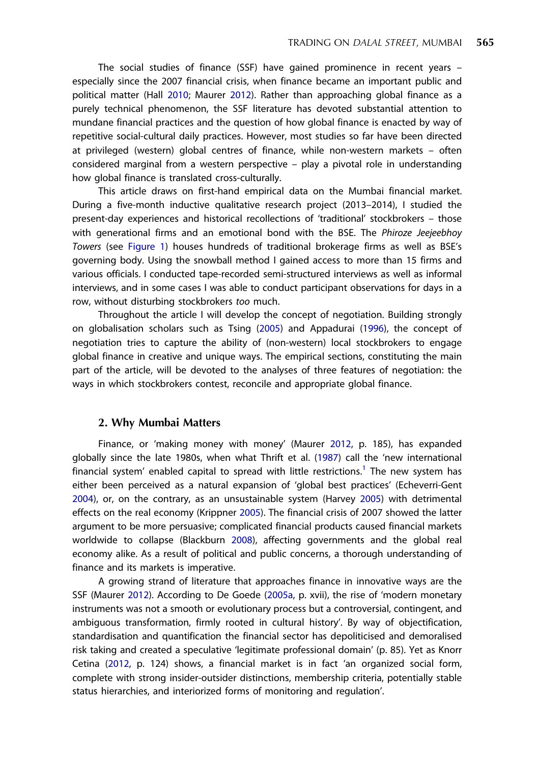The social studies of finance (SSF) have gained prominence in recent years – especially since the 2007 financial crisis, when finance became an important public and political matter (Hall [2010;](#page-17-0) Maurer [2012](#page-18-0)). Rather than approaching global finance as a purely technical phenomenon, the SSF literature has devoted substantial attention to mundane financial practices and the question of how global finance is enacted by way of repetitive social-cultural daily practices. However, most studies so far have been directed at privileged (western) global centres of finance, while non-western markets – often considered marginal from a western perspective – play a pivotal role in understanding how global finance is translated cross-culturally.

This article draws on first-hand empirical data on the Mumbai financial market. During a five-month inductive qualitative research project (2013–2014), I studied the present-day experiences and historical recollections of 'traditional' stockbrokers – those with generational firms and an emotional bond with the BSE. The Phiroze Jeejeebhoy Towers (see [Figure 1](#page-3-0)) houses hundreds of traditional brokerage firms as well as BSE's governing body. Using the snowball method I gained access to more than 15 firms and various officials. I conducted tape-recorded semi-structured interviews as well as informal interviews, and in some cases I was able to conduct participant observations for days in a row, without disturbing stockbrokers too much.

Throughout the article I will develop the concept of negotiation. Building strongly on globalisation scholars such as Tsing ([2005](#page-18-0)) and Appadurai [\(1996](#page-17-0)), the concept of negotiation tries to capture the ability of (non-western) local stockbrokers to engage global finance in creative and unique ways. The empirical sections, constituting the main part of the article, will be devoted to the analyses of three features of negotiation: the ways in which stockbrokers contest, reconcile and appropriate global finance.

#### 2. Why Mumbai Matters

Finance, or 'making money with money' (Maurer [2012](#page-18-0), p. 185), has expanded globally since the late 1980s, when what Thrift et al. [\(1987](#page-18-0)) call the 'new international financial system' enabled capital to spread with little restrictions.<sup>1</sup> The new system has either been perceived as a natural expansion of 'global best practices' (Echeverri-Gent [2004\)](#page-17-0), or, on the contrary, as an unsustainable system (Harvey [2005\)](#page-17-0) with detrimental effects on the real economy (Krippner [2005\)](#page-17-0). The financial crisis of 2007 showed the latter argument to be more persuasive; complicated financial products caused financial markets worldwide to collapse (Blackburn [2008](#page-17-0)), affecting governments and the global real economy alike. As a result of political and public concerns, a thorough understanding of finance and its markets is imperative.

A growing strand of literature that approaches finance in innovative ways are the SSF (Maurer [2012\)](#page-18-0). According to De Goede ([2005a,](#page-17-0) p. xvii), the rise of 'modern monetary instruments was not a smooth or evolutionary process but a controversial, contingent, and ambiguous transformation, firmly rooted in cultural history'. By way of objectification, standardisation and quantification the financial sector has depoliticised and demoralised risk taking and created a speculative 'legitimate professional domain' (p. 85). Yet as Knorr Cetina ([2012,](#page-17-0) p. 124) shows, a financial market is in fact 'an organized social form, complete with strong insider-outsider distinctions, membership criteria, potentially stable status hierarchies, and interiorized forms of monitoring and regulation'.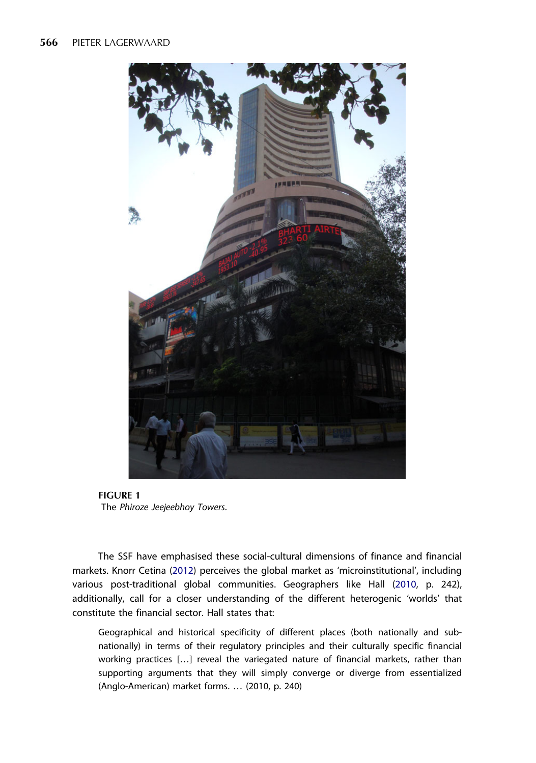<span id="page-3-0"></span>

FIGURE 1 The Phiroze Jeejeebhoy Towers.

The SSF have emphasised these social-cultural dimensions of finance and financial markets. Knorr Cetina ([2012](#page-17-0)) perceives the global market as 'microinstitutional', including various post-traditional global communities. Geographers like Hall ([2010](#page-17-0), p. 242), additionally, call for a closer understanding of the different heterogenic 'worlds' that constitute the financial sector. Hall states that:

Geographical and historical specificity of different places (both nationally and subnationally) in terms of their regulatory principles and their culturally specific financial working practices […] reveal the variegated nature of financial markets, rather than supporting arguments that they will simply converge or diverge from essentialized (Anglo-American) market forms. … (2010, p. 240)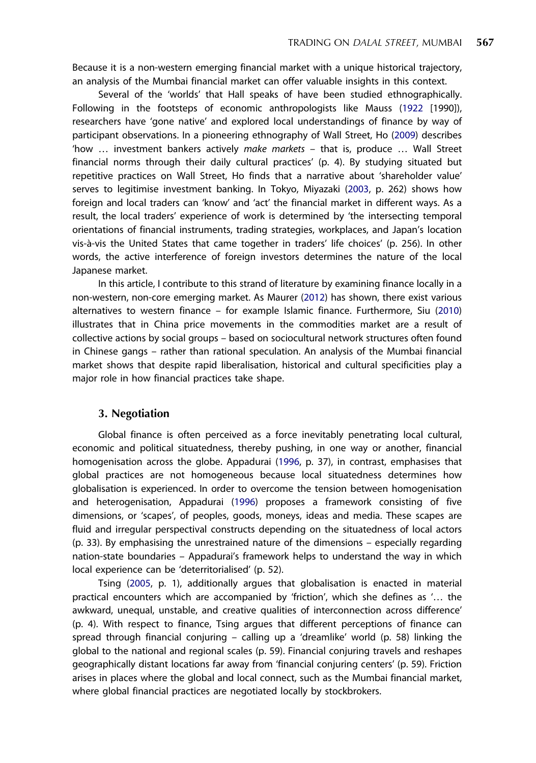Because it is a non-western emerging financial market with a unique historical trajectory, an analysis of the Mumbai financial market can offer valuable insights in this context.

Several of the 'worlds' that Hall speaks of have been studied ethnographically. Following in the footsteps of economic anthropologists like Mauss [\(1922](#page-18-0) [1990]), researchers have 'gone native' and explored local understandings of finance by way of participant observations. In a pioneering ethnography of Wall Street, Ho [\(2009](#page-17-0)) describes 'how … investment bankers actively make markets – that is, produce … Wall Street financial norms through their daily cultural practices' (p. 4). By studying situated but repetitive practices on Wall Street, Ho finds that a narrative about 'shareholder value' serves to legitimise investment banking. In Tokyo, Miyazaki [\(2003,](#page-18-0) p. 262) shows how foreign and local traders can 'know' and 'act' the financial market in different ways. As a result, the local traders' experience of work is determined by 'the intersecting temporal orientations of financial instruments, trading strategies, workplaces, and Japan's location vis-à-vis the United States that came together in traders' life choices' (p. 256). In other words, the active interference of foreign investors determines the nature of the local Japanese market.

In this article, I contribute to this strand of literature by examining finance locally in a non-western, non-core emerging market. As Maurer ([2012](#page-18-0)) has shown, there exist various alternatives to western finance – for example Islamic finance. Furthermore, Siu [\(2010\)](#page-18-0) illustrates that in China price movements in the commodities market are a result of collective actions by social groups – based on sociocultural network structures often found in Chinese gangs – rather than rational speculation. An analysis of the Mumbai financial market shows that despite rapid liberalisation, historical and cultural specificities play a major role in how financial practices take shape.

#### 3. Negotiation

Global finance is often perceived as a force inevitably penetrating local cultural, economic and political situatedness, thereby pushing, in one way or another, financial homogenisation across the globe. Appadurai [\(1996,](#page-17-0) p. 37), in contrast, emphasises that global practices are not homogeneous because local situatedness determines how globalisation is experienced. In order to overcome the tension between homogenisation and heterogenisation, Appadurai ([1996\)](#page-17-0) proposes a framework consisting of five dimensions, or 'scapes', of peoples, goods, moneys, ideas and media. These scapes are fluid and irregular perspectival constructs depending on the situatedness of local actors (p. 33). By emphasising the unrestrained nature of the dimensions – especially regarding nation-state boundaries – Appadurai's framework helps to understand the way in which local experience can be 'deterritorialised' (p. 52).

Tsing [\(2005,](#page-18-0) p. 1), additionally argues that globalisation is enacted in material practical encounters which are accompanied by 'friction', which she defines as '… the awkward, unequal, unstable, and creative qualities of interconnection across difference' (p. 4). With respect to finance, Tsing argues that different perceptions of finance can spread through financial conjuring – calling up a 'dreamlike' world (p. 58) linking the global to the national and regional scales (p. 59). Financial conjuring travels and reshapes geographically distant locations far away from 'financial conjuring centers' (p. 59). Friction arises in places where the global and local connect, such as the Mumbai financial market, where global financial practices are negotiated locally by stockbrokers.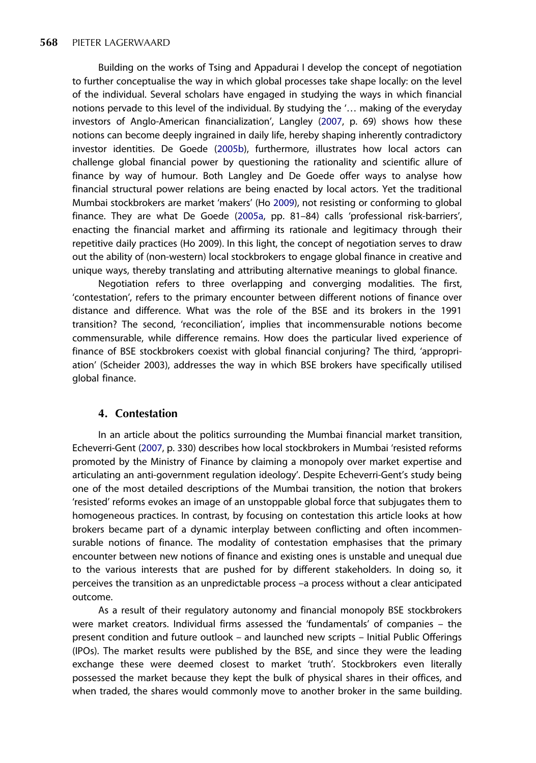Building on the works of Tsing and Appadurai I develop the concept of negotiation to further conceptualise the way in which global processes take shape locally: on the level of the individual. Several scholars have engaged in studying the ways in which financial notions pervade to this level of the individual. By studying the '… making of the everyday investors of Anglo-American financialization', Langley ([2007,](#page-18-0) p. 69) shows how these notions can become deeply ingrained in daily life, hereby shaping inherently contradictory investor identities. De Goede ([2005b\)](#page-17-0), furthermore, illustrates how local actors can challenge global financial power by questioning the rationality and scientific allure of finance by way of humour. Both Langley and De Goede offer ways to analyse how financial structural power relations are being enacted by local actors. Yet the traditional Mumbai stockbrokers are market 'makers' (Ho [2009\)](#page-17-0), not resisting or conforming to global finance. They are what De Goede ([2005a,](#page-17-0) pp. 81–84) calls 'professional risk-barriers', enacting the financial market and affirming its rationale and legitimacy through their repetitive daily practices (Ho 2009). In this light, the concept of negotiation serves to draw out the ability of (non-western) local stockbrokers to engage global finance in creative and unique ways, thereby translating and attributing alternative meanings to global finance.

Negotiation refers to three overlapping and converging modalities. The first, 'contestation', refers to the primary encounter between different notions of finance over distance and difference. What was the role of the BSE and its brokers in the 1991 transition? The second, 'reconciliation', implies that incommensurable notions become commensurable, while difference remains. How does the particular lived experience of finance of BSE stockbrokers coexist with global financial conjuring? The third, 'appropriation' (Scheider 2003), addresses the way in which BSE brokers have specifically utilised global finance.

#### 4. Contestation

In an article about the politics surrounding the Mumbai financial market transition, Echeverri-Gent [\(2007](#page-17-0), p. 330) describes how local stockbrokers in Mumbai 'resisted reforms promoted by the Ministry of Finance by claiming a monopoly over market expertise and articulating an anti-government regulation ideology'. Despite Echeverri-Gent's study being one of the most detailed descriptions of the Mumbai transition, the notion that brokers 'resisted' reforms evokes an image of an unstoppable global force that subjugates them to homogeneous practices. In contrast, by focusing on contestation this article looks at how brokers became part of a dynamic interplay between conflicting and often incommensurable notions of finance. The modality of contestation emphasises that the primary encounter between new notions of finance and existing ones is unstable and unequal due to the various interests that are pushed for by different stakeholders. In doing so, it perceives the transition as an unpredictable process –a process without a clear anticipated outcome.

As a result of their regulatory autonomy and financial monopoly BSE stockbrokers were market creators. Individual firms assessed the 'fundamentals' of companies – the present condition and future outlook – and launched new scripts – Initial Public Offerings (IPOs). The market results were published by the BSE, and since they were the leading exchange these were deemed closest to market 'truth'. Stockbrokers even literally possessed the market because they kept the bulk of physical shares in their offices, and when traded, the shares would commonly move to another broker in the same building.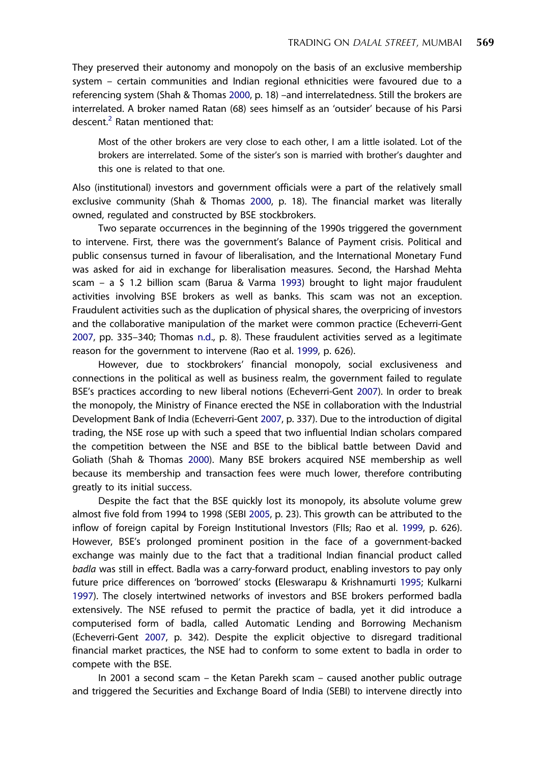They preserved their autonomy and monopoly on the basis of an exclusive membership system – certain communities and Indian regional ethnicities were favoured due to a referencing system (Shah & Thomas [2000](#page-18-0), p. 18) –and interrelatedness. Still the brokers are interrelated. A broker named Ratan (68) sees himself as an 'outsider' because of his Parsi descent.<sup>2</sup> Ratan mentioned that:

Most of the other brokers are very close to each other, I am a little isolated. Lot of the brokers are interrelated. Some of the sister's son is married with brother's daughter and this one is related to that one.

Also (institutional) investors and government officials were a part of the relatively small exclusive community (Shah & Thomas [2000,](#page-18-0) p. 18). The financial market was literally owned, regulated and constructed by BSE stockbrokers.

Two separate occurrences in the beginning of the 1990s triggered the government to intervene. First, there was the government's Balance of Payment crisis. Political and public consensus turned in favour of liberalisation, and the International Monetary Fund was asked for aid in exchange for liberalisation measures. Second, the Harshad Mehta scam – a \$ 1.2 billion scam (Barua & Varma [1993\)](#page-17-0) brought to light major fraudulent activities involving BSE brokers as well as banks. This scam was not an exception. Fraudulent activities such as the duplication of physical shares, the overpricing of investors and the collaborative manipulation of the market were common practice (Echeverri-Gent [2007,](#page-17-0) pp. 335–340; Thomas [n.d](#page-18-0)., p. 8). These fraudulent activities served as a legitimate reason for the government to intervene (Rao et al. [1999,](#page-18-0) p. 626).

However, due to stockbrokers' financial monopoly, social exclusiveness and connections in the political as well as business realm, the government failed to regulate BSE's practices according to new liberal notions (Echeverri-Gent [2007\)](#page-17-0). In order to break the monopoly, the Ministry of Finance erected the NSE in collaboration with the Industrial Development Bank of India (Echeverri-Gent [2007](#page-17-0), p. 337). Due to the introduction of digital trading, the NSE rose up with such a speed that two influential Indian scholars compared the competition between the NSE and BSE to the biblical battle between David and Goliath (Shah & Thomas [2000\)](#page-18-0). Many BSE brokers acquired NSE membership as well because its membership and transaction fees were much lower, therefore contributing greatly to its initial success.

Despite the fact that the BSE quickly lost its monopoly, its absolute volume grew almost five fold from 1994 to 1998 (SEBI [2005,](#page-18-0) p. 23). This growth can be attributed to the inflow of foreign capital by Foreign Institutional Investors (FIIs; Rao et al. [1999](#page-18-0), p. 626). However, BSE's prolonged prominent position in the face of a government-backed exchange was mainly due to the fact that a traditional Indian financial product called badla was still in effect. Badla was a carry-forward product, enabling investors to pay only future price differences on 'borrowed' stocks (Eleswarapu & Krishnamurti [1995;](#page-17-0) Kulkarni [1997\)](#page-17-0). The closely intertwined networks of investors and BSE brokers performed badla extensively. The NSE refused to permit the practice of badla, yet it did introduce a computerised form of badla, called Automatic Lending and Borrowing Mechanism (Echeverri-Gent [2007,](#page-17-0) p. 342). Despite the explicit objective to disregard traditional financial market practices, the NSE had to conform to some extent to badla in order to compete with the BSE.

In 2001 a second scam – the Ketan Parekh scam – caused another public outrage and triggered the Securities and Exchange Board of India (SEBI) to intervene directly into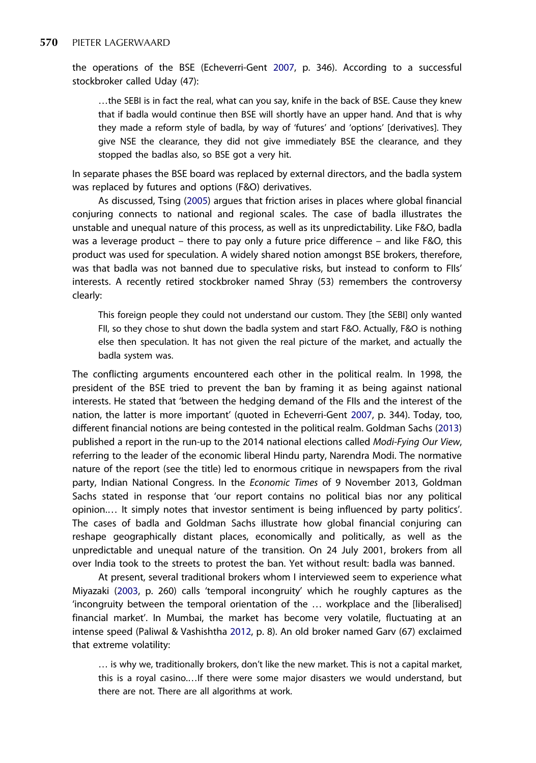the operations of the BSE (Echeverri-Gent [2007,](#page-17-0) p. 346). According to a successful stockbroker called Uday (47):

…the SEBI is in fact the real, what can you say, knife in the back of BSE. Cause they knew that if badla would continue then BSE will shortly have an upper hand. And that is why they made a reform style of badla, by way of 'futures' and 'options' [derivatives]. They give NSE the clearance, they did not give immediately BSE the clearance, and they stopped the badlas also, so BSE got a very hit.

In separate phases the BSE board was replaced by external directors, and the badla system was replaced by futures and options (F&O) derivatives.

As discussed, Tsing ([2005](#page-18-0)) argues that friction arises in places where global financial conjuring connects to national and regional scales. The case of badla illustrates the unstable and unequal nature of this process, as well as its unpredictability. Like F&O, badla was a leverage product – there to pay only a future price difference – and like F&O, this product was used for speculation. A widely shared notion amongst BSE brokers, therefore, was that badla was not banned due to speculative risks, but instead to conform to FIIs' interests. A recently retired stockbroker named Shray (53) remembers the controversy clearly:

This foreign people they could not understand our custom. They [the SEBI] only wanted FII, so they chose to shut down the badla system and start F&O. Actually, F&O is nothing else then speculation. It has not given the real picture of the market, and actually the badla system was.

The conflicting arguments encountered each other in the political realm. In 1998, the president of the BSE tried to prevent the ban by framing it as being against national interests. He stated that 'between the hedging demand of the FIIs and the interest of the nation, the latter is more important' (quoted in Echeverri-Gent [2007](#page-17-0), p. 344). Today, too, different financial notions are being contested in the political realm. Goldman Sachs [\(2013\)](#page-17-0) published a report in the run-up to the 2014 national elections called Modi-Fying Our View, referring to the leader of the economic liberal Hindu party, Narendra Modi. The normative nature of the report (see the title) led to enormous critique in newspapers from the rival party, Indian National Congress. In the Economic Times of 9 November 2013, Goldman Sachs stated in response that 'our report contains no political bias nor any political opinion.… It simply notes that investor sentiment is being influenced by party politics'. The cases of badla and Goldman Sachs illustrate how global financial conjuring can reshape geographically distant places, economically and politically, as well as the unpredictable and unequal nature of the transition. On 24 July 2001, brokers from all over India took to the streets to protest the ban. Yet without result: badla was banned.

At present, several traditional brokers whom I interviewed seem to experience what Miyazaki ([2003](#page-18-0), p. 260) calls 'temporal incongruity' which he roughly captures as the 'incongruity between the temporal orientation of the … workplace and the [liberalised] financial market'. In Mumbai, the market has become very volatile, fluctuating at an intense speed (Paliwal & Vashishtha [2012](#page-18-0), p. 8). An old broker named Garv (67) exclaimed that extreme volatility:

… is why we, traditionally brokers, don't like the new market. This is not a capital market, this is a royal casino.…If there were some major disasters we would understand, but there are not. There are all algorithms at work.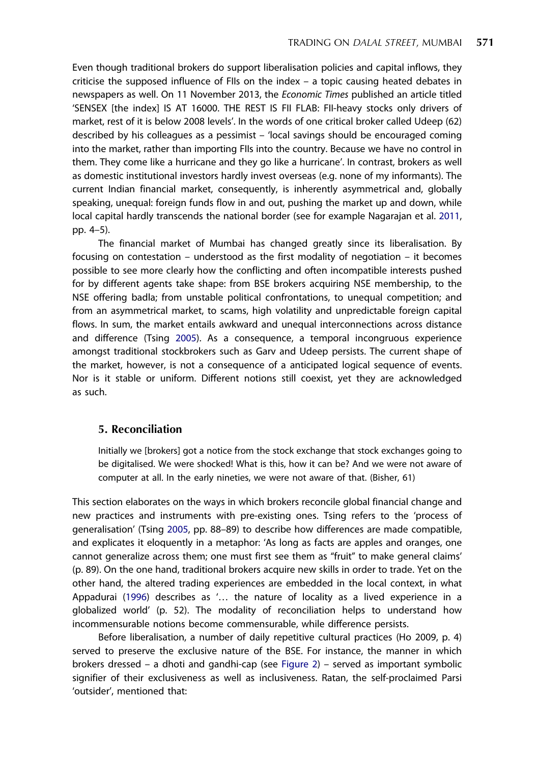Even though traditional brokers do support liberalisation policies and capital inflows, they criticise the supposed influence of FIIs on the index – a topic causing heated debates in newspapers as well. On 11 November 2013, the Economic Times published an article titled 'SENSEX [the index] IS AT 16000. THE REST IS FII FLAB: FII-heavy stocks only drivers of market, rest of it is below 2008 levels'. In the words of one critical broker called Udeep (62) described by his colleagues as a pessimist – 'local savings should be encouraged coming into the market, rather than importing FIIs into the country. Because we have no control in them. They come like a hurricane and they go like a hurricane'. In contrast, brokers as well as domestic institutional investors hardly invest overseas (e.g. none of my informants). The current Indian financial market, consequently, is inherently asymmetrical and, globally speaking, unequal: foreign funds flow in and out, pushing the market up and down, while local capital hardly transcends the national border (see for example Nagarajan et al. [2011](#page-18-0), pp. 4–5).

The financial market of Mumbai has changed greatly since its liberalisation. By focusing on contestation – understood as the first modality of negotiation – it becomes possible to see more clearly how the conflicting and often incompatible interests pushed for by different agents take shape: from BSE brokers acquiring NSE membership, to the NSE offering badla; from unstable political confrontations, to unequal competition; and from an asymmetrical market, to scams, high volatility and unpredictable foreign capital flows. In sum, the market entails awkward and unequal interconnections across distance and difference (Tsing [2005\)](#page-18-0). As a consequence, a temporal incongruous experience amongst traditional stockbrokers such as Garv and Udeep persists. The current shape of the market, however, is not a consequence of a anticipated logical sequence of events. Nor is it stable or uniform. Different notions still coexist, yet they are acknowledged as such.

#### 5. Reconciliation

Initially we [brokers] got a notice from the stock exchange that stock exchanges going to be digitalised. We were shocked! What is this, how it can be? And we were not aware of computer at all. In the early nineties, we were not aware of that. (Bisher, 61)

This section elaborates on the ways in which brokers reconcile global financial change and new practices and instruments with pre-existing ones. Tsing refers to the 'process of generalisation' (Tsing [2005](#page-18-0), pp. 88–89) to describe how differences are made compatible, and explicates it eloquently in a metaphor: 'As long as facts are apples and oranges, one cannot generalize across them; one must first see them as "fruit" to make general claims' (p. 89). On the one hand, traditional brokers acquire new skills in order to trade. Yet on the other hand, the altered trading experiences are embedded in the local context, in what Appadurai ([1996](#page-17-0)) describes as '… the nature of locality as a lived experience in a globalized world' (p. 52). The modality of reconciliation helps to understand how incommensurable notions become commensurable, while difference persists.

Before liberalisation, a number of daily repetitive cultural practices (Ho 2009, p. 4) served to preserve the exclusive nature of the BSE. For instance, the manner in which brokers dressed – a dhoti and gandhi-cap (see [Figure 2](#page-9-0)) – served as important symbolic signifier of their exclusiveness as well as inclusiveness. Ratan, the self-proclaimed Parsi 'outsider', mentioned that: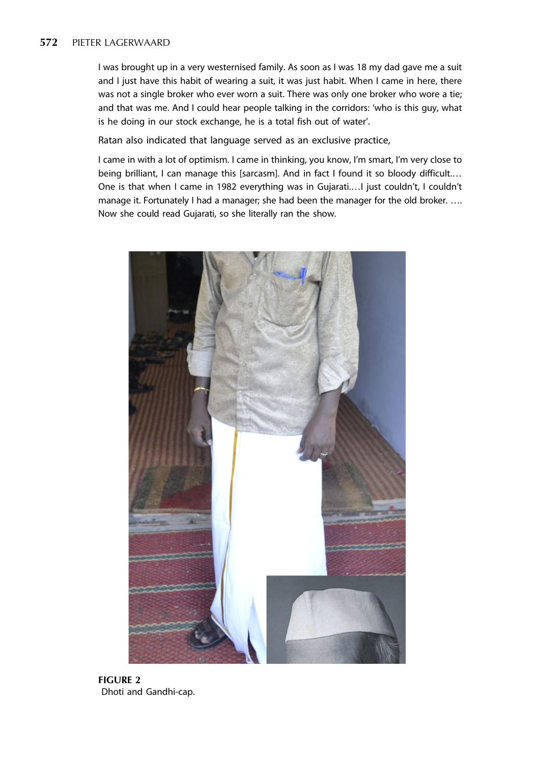#### <span id="page-9-0"></span>572 PIETER LAGERWAARD

I was brought up in a very westernised family. As soon as I was 18 my dad gave me a suit and I just have this habit of wearing a suit, it was just habit. When I came in here, there was not a single broker who ever worn a suit. There was only one broker who wore a tie; and that was me. And I could hear people talking in the corridors: 'who is this guy, what is he doing in our stock exchange, he is a total fish out of water'.

Ratan also indicated that language served as an exclusive practice,

I came in with a lot of optimism. I came in thinking, you know, I'm smart, I'm very close to being brilliant, I can manage this [sarcasm]. And in fact I found it so bloody difficult.... One is that when I came in 1982 everything was in Gujarati.…I just couldn't, I couldn't manage it. Fortunately I had a manager; she had been the manager for the old broker. .... Now she could read Gujarati, so she literally ran the show.



FIGURE 2 Dhoti and Gandhi-cap.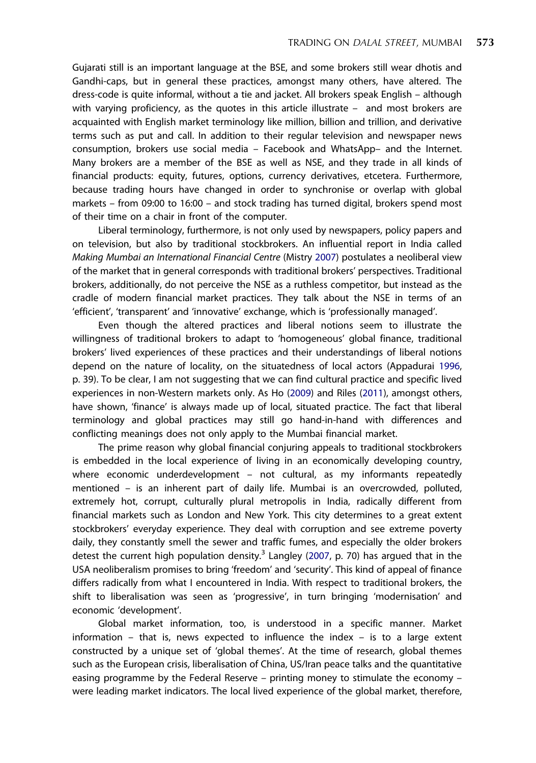Gujarati still is an important language at the BSE, and some brokers still wear dhotis and Gandhi-caps, but in general these practices, amongst many others, have altered. The dress-code is quite informal, without a tie and jacket. All brokers speak English – although with varying proficiency, as the quotes in this article illustrate – and most brokers are acquainted with English market terminology like million, billion and trillion, and derivative terms such as put and call. In addition to their regular television and newspaper news consumption, brokers use social media – Facebook and WhatsApp– and the Internet. Many brokers are a member of the BSE as well as NSE, and they trade in all kinds of financial products: equity, futures, options, currency derivatives, etcetera. Furthermore, because trading hours have changed in order to synchronise or overlap with global markets – from 09:00 to 16:00 – and stock trading has turned digital, brokers spend most of their time on a chair in front of the computer.

Liberal terminology, furthermore, is not only used by newspapers, policy papers and on television, but also by traditional stockbrokers. An influential report in India called Making Mumbai an International Financial Centre (Mistry [2007](#page-18-0)) postulates a neoliberal view of the market that in general corresponds with traditional brokers' perspectives. Traditional brokers, additionally, do not perceive the NSE as a ruthless competitor, but instead as the cradle of modern financial market practices. They talk about the NSE in terms of an 'efficient', 'transparent' and 'innovative' exchange, which is 'professionally managed'.

Even though the altered practices and liberal notions seem to illustrate the willingness of traditional brokers to adapt to 'homogeneous' global finance, traditional brokers' lived experiences of these practices and their understandings of liberal notions depend on the nature of locality, on the situatedness of local actors (Appadurai [1996](#page-17-0), p. 39). To be clear, I am not suggesting that we can find cultural practice and specific lived experiences in non-Western markets only. As Ho ([2009](#page-17-0)) and Riles ([2011](#page-18-0)), amongst others, have shown, 'finance' is always made up of local, situated practice. The fact that liberal terminology and global practices may still go hand-in-hand with differences and conflicting meanings does not only apply to the Mumbai financial market.

The prime reason why global financial conjuring appeals to traditional stockbrokers is embedded in the local experience of living in an economically developing country, where economic underdevelopment – not cultural, as my informants repeatedly mentioned – is an inherent part of daily life. Mumbai is an overcrowded, polluted, extremely hot, corrupt, culturally plural metropolis in India, radically different from financial markets such as London and New York. This city determines to a great extent stockbrokers' everyday experience. They deal with corruption and see extreme poverty daily, they constantly smell the sewer and traffic fumes, and especially the older brokers detest the current high population density.<sup>3</sup> Langley [\(2007](#page-18-0), p. 70) has argued that in the USA neoliberalism promises to bring 'freedom' and 'security'. This kind of appeal of finance differs radically from what I encountered in India. With respect to traditional brokers, the shift to liberalisation was seen as 'progressive', in turn bringing 'modernisation' and economic 'development'.

Global market information, too, is understood in a specific manner. Market information – that is, news expected to influence the index – is to a large extent constructed by a unique set of 'global themes'. At the time of research, global themes such as the European crisis, liberalisation of China, US/Iran peace talks and the quantitative easing programme by the Federal Reserve – printing money to stimulate the economy – were leading market indicators. The local lived experience of the global market, therefore,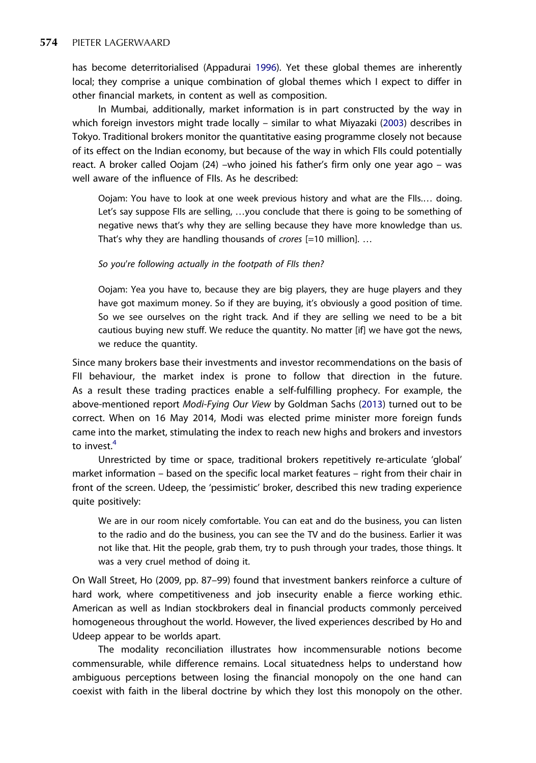has become deterritorialised (Appadurai [1996](#page-17-0)). Yet these global themes are inherently local; they comprise a unique combination of global themes which I expect to differ in other financial markets, in content as well as composition.

In Mumbai, additionally, market information is in part constructed by the way in which foreign investors might trade locally – similar to what Miyazaki ([2003\)](#page-18-0) describes in Tokyo. Traditional brokers monitor the quantitative easing programme closely not because of its effect on the Indian economy, but because of the way in which FIIs could potentially react. A broker called Oojam (24) –who joined his father's firm only one year ago – was well aware of the influence of FIIs. As he described:

Oojam: You have to look at one week previous history and what are the FIIs.… doing. Let's say suppose FIIs are selling, …you conclude that there is going to be something of negative news that's why they are selling because they have more knowledge than us. That's why they are handling thousands of crores  $[=10 \text{ million}]$ ...

#### So you're following actually in the footpath of FIIs then?

Oojam: Yea you have to, because they are big players, they are huge players and they have got maximum money. So if they are buying, it's obviously a good position of time. So we see ourselves on the right track. And if they are selling we need to be a bit cautious buying new stuff. We reduce the quantity. No matter [if] we have got the news, we reduce the quantity.

Since many brokers base their investments and investor recommendations on the basis of FII behaviour, the market index is prone to follow that direction in the future. As a result these trading practices enable a self-fulfilling prophecy. For example, the above-mentioned report Modi-Fying Our View by Goldman Sachs ([2013](#page-17-0)) turned out to be correct. When on 16 May 2014, Modi was elected prime minister more foreign funds came into the market, stimulating the index to reach new highs and brokers and investors to invest  $4$ 

Unrestricted by time or space, traditional brokers repetitively re-articulate 'global' market information – based on the specific local market features – right from their chair in front of the screen. Udeep, the 'pessimistic' broker, described this new trading experience quite positively:

We are in our room nicely comfortable. You can eat and do the business, you can listen to the radio and do the business, you can see the TV and do the business. Earlier it was not like that. Hit the people, grab them, try to push through your trades, those things. It was a very cruel method of doing it.

On Wall Street, Ho (2009, pp. 87–99) found that investment bankers reinforce a culture of hard work, where competitiveness and job insecurity enable a fierce working ethic. American as well as Indian stockbrokers deal in financial products commonly perceived homogeneous throughout the world. However, the lived experiences described by Ho and Udeep appear to be worlds apart.

The modality reconciliation illustrates how incommensurable notions become commensurable, while difference remains. Local situatedness helps to understand how ambiguous perceptions between losing the financial monopoly on the one hand can coexist with faith in the liberal doctrine by which they lost this monopoly on the other.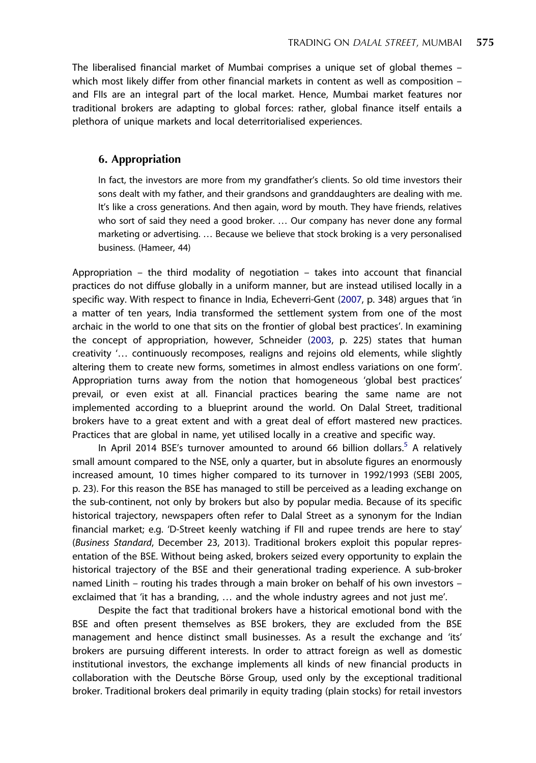The liberalised financial market of Mumbai comprises a unique set of global themes – which most likely differ from other financial markets in content as well as composition and FIIs are an integral part of the local market. Hence, Mumbai market features nor traditional brokers are adapting to global forces: rather, global finance itself entails a plethora of unique markets and local deterritorialised experiences.

#### 6. Appropriation

In fact, the investors are more from my grandfather's clients. So old time investors their sons dealt with my father, and their grandsons and granddaughters are dealing with me. It's like a cross generations. And then again, word by mouth. They have friends, relatives who sort of said they need a good broker. … Our company has never done any formal marketing or advertising. … Because we believe that stock broking is a very personalised business. (Hameer, 44)

Appropriation – the third modality of negotiation – takes into account that financial practices do not diffuse globally in a uniform manner, but are instead utilised locally in a specific way. With respect to finance in India, Echeverri-Gent ([2007](#page-17-0), p. 348) argues that 'in a matter of ten years, India transformed the settlement system from one of the most archaic in the world to one that sits on the frontier of global best practices'. In examining the concept of appropriation, however, Schneider ([2003](#page-18-0), p. 225) states that human creativity '… continuously recomposes, realigns and rejoins old elements, while slightly altering them to create new forms, sometimes in almost endless variations on one form'. Appropriation turns away from the notion that homogeneous 'global best practices' prevail, or even exist at all. Financial practices bearing the same name are not implemented according to a blueprint around the world. On Dalal Street, traditional brokers have to a great extent and with a great deal of effort mastered new practices. Practices that are global in name, yet utilised locally in a creative and specific way.

In April 2014 BSE's turnover amounted to around 66 billion dollars.<sup>[5](#page-17-0)</sup> A relatively small amount compared to the NSE, only a quarter, but in absolute figures an enormously increased amount, 10 times higher compared to its turnover in 1992/1993 (SEBI 2005, p. 23). For this reason the BSE has managed to still be perceived as a leading exchange on the sub-continent, not only by brokers but also by popular media. Because of its specific historical trajectory, newspapers often refer to Dalal Street as a synonym for the Indian financial market; e.g. 'D-Street keenly watching if FII and rupee trends are here to stay' (Business Standard, December 23, 2013). Traditional brokers exploit this popular representation of the BSE. Without being asked, brokers seized every opportunity to explain the historical trajectory of the BSE and their generational trading experience. A sub-broker named Linith – routing his trades through a main broker on behalf of his own investors – exclaimed that 'it has a branding, … and the whole industry agrees and not just me'.

Despite the fact that traditional brokers have a historical emotional bond with the BSE and often present themselves as BSE brokers, they are excluded from the BSE management and hence distinct small businesses. As a result the exchange and 'its' brokers are pursuing different interests. In order to attract foreign as well as domestic institutional investors, the exchange implements all kinds of new financial products in collaboration with the Deutsche Börse Group, used only by the exceptional traditional broker. Traditional brokers deal primarily in equity trading (plain stocks) for retail investors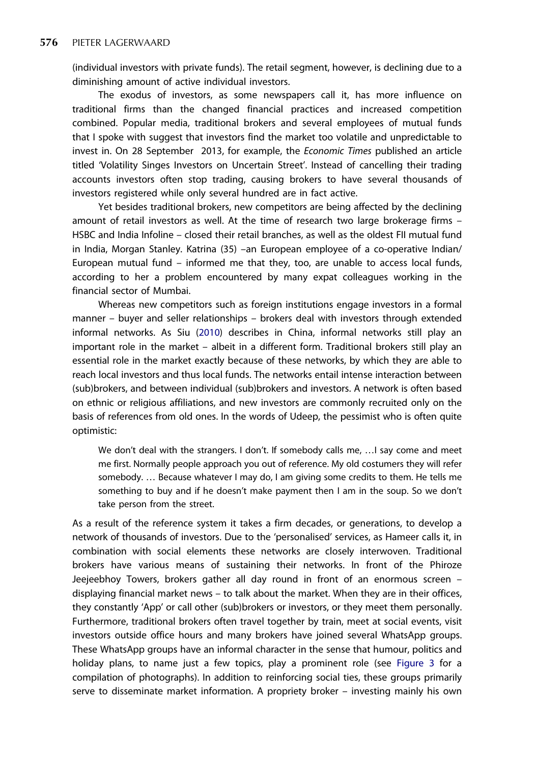(individual investors with private funds). The retail segment, however, is declining due to a diminishing amount of active individual investors.

The exodus of investors, as some newspapers call it, has more influence on traditional firms than the changed financial practices and increased competition combined. Popular media, traditional brokers and several employees of mutual funds that I spoke with suggest that investors find the market too volatile and unpredictable to invest in. On 28 September 2013, for example, the Economic Times published an article titled 'Volatility Singes Investors on Uncertain Street'. Instead of cancelling their trading accounts investors often stop trading, causing brokers to have several thousands of investors registered while only several hundred are in fact active.

Yet besides traditional brokers, new competitors are being affected by the declining amount of retail investors as well. At the time of research two large brokerage firms – HSBC and India Infoline – closed their retail branches, as well as the oldest FII mutual fund in India, Morgan Stanley. Katrina (35) –an European employee of a co-operative Indian/ European mutual fund – informed me that they, too, are unable to access local funds, according to her a problem encountered by many expat colleagues working in the financial sector of Mumbai.

Whereas new competitors such as foreign institutions engage investors in a formal manner – buyer and seller relationships – brokers deal with investors through extended informal networks. As Siu [\(2010](#page-18-0)) describes in China, informal networks still play an important role in the market – albeit in a different form. Traditional brokers still play an essential role in the market exactly because of these networks, by which they are able to reach local investors and thus local funds. The networks entail intense interaction between (sub)brokers, and between individual (sub)brokers and investors. A network is often based on ethnic or religious affiliations, and new investors are commonly recruited only on the basis of references from old ones. In the words of Udeep, the pessimist who is often quite optimistic:

We don't deal with the strangers. I don't. If somebody calls me, …I say come and meet me first. Normally people approach you out of reference. My old costumers they will refer somebody. … Because whatever I may do, I am giving some credits to them. He tells me something to buy and if he doesn't make payment then I am in the soup. So we don't take person from the street.

As a result of the reference system it takes a firm decades, or generations, to develop a network of thousands of investors. Due to the 'personalised' services, as Hameer calls it, in combination with social elements these networks are closely interwoven. Traditional brokers have various means of sustaining their networks. In front of the Phiroze Jeejeebhoy Towers, brokers gather all day round in front of an enormous screen – displaying financial market news – to talk about the market. When they are in their offices, they constantly 'App' or call other (sub)brokers or investors, or they meet them personally. Furthermore, traditional brokers often travel together by train, meet at social events, visit investors outside office hours and many brokers have joined several WhatsApp groups. These WhatsApp groups have an informal character in the sense that humour, politics and holiday plans, to name just a few topics, play a prominent role (see [Figure 3](#page-15-0) for a compilation of photographs). In addition to reinforcing social ties, these groups primarily serve to disseminate market information. A propriety broker – investing mainly his own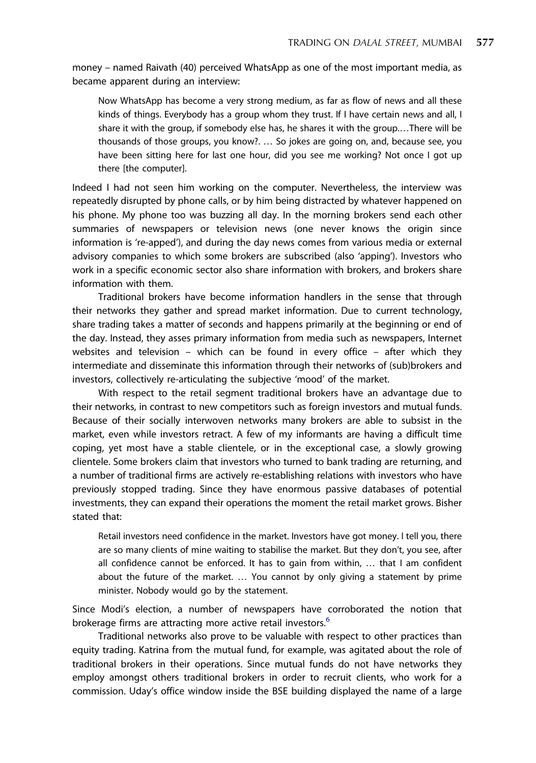money – named Raivath (40) perceived WhatsApp as one of the most important media, as became apparent during an interview:

Now WhatsApp has become a very strong medium, as far as flow of news and all these kinds of things. Everybody has a group whom they trust. If I have certain news and all, I share it with the group, if somebody else has, he shares it with the group.…There will be thousands of those groups, you know?. … So jokes are going on, and, because see, you have been sitting here for last one hour, did you see me working? Not once I got up there [the computer].

Indeed I had not seen him working on the computer. Nevertheless, the interview was repeatedly disrupted by phone calls, or by him being distracted by whatever happened on his phone. My phone too was buzzing all day. In the morning brokers send each other summaries of newspapers or television news (one never knows the origin since information is 're-apped'), and during the day news comes from various media or external advisory companies to which some brokers are subscribed (also 'apping'). Investors who work in a specific economic sector also share information with brokers, and brokers share information with them.

Traditional brokers have become information handlers in the sense that through their networks they gather and spread market information. Due to current technology, share trading takes a matter of seconds and happens primarily at the beginning or end of the day. Instead, they asses primary information from media such as newspapers, Internet websites and television – which can be found in every office – after which they intermediate and disseminate this information through their networks of (sub)brokers and investors, collectively re-articulating the subjective 'mood' of the market.

With respect to the retail segment traditional brokers have an advantage due to their networks, in contrast to new competitors such as foreign investors and mutual funds. Because of their socially interwoven networks many brokers are able to subsist in the market, even while investors retract. A few of my informants are having a difficult time coping, yet most have a stable clientele, or in the exceptional case, a slowly growing clientele. Some brokers claim that investors who turned to bank trading are returning, and a number of traditional firms are actively re-establishing relations with investors who have previously stopped trading. Since they have enormous passive databases of potential investments, they can expand their operations the moment the retail market grows. Bisher stated that:

Retail investors need confidence in the market. Investors have got money. I tell you, there are so many clients of mine waiting to stabilise the market. But they don't, you see, after all confidence cannot be enforced. It has to gain from within, … that I am confident about the future of the market. … You cannot by only giving a statement by prime minister. Nobody would go by the statement.

Since Modi's election, a number of newspapers have corroborated the notion that brokerage firms are attracting more active retail investors.<sup>[6](#page-17-0)</sup>

Traditional networks also prove to be valuable with respect to other practices than equity trading. Katrina from the mutual fund, for example, was agitated about the role of traditional brokers in their operations. Since mutual funds do not have networks they employ amongst others traditional brokers in order to recruit clients, who work for a commission. Uday's office window inside the BSE building displayed the name of a large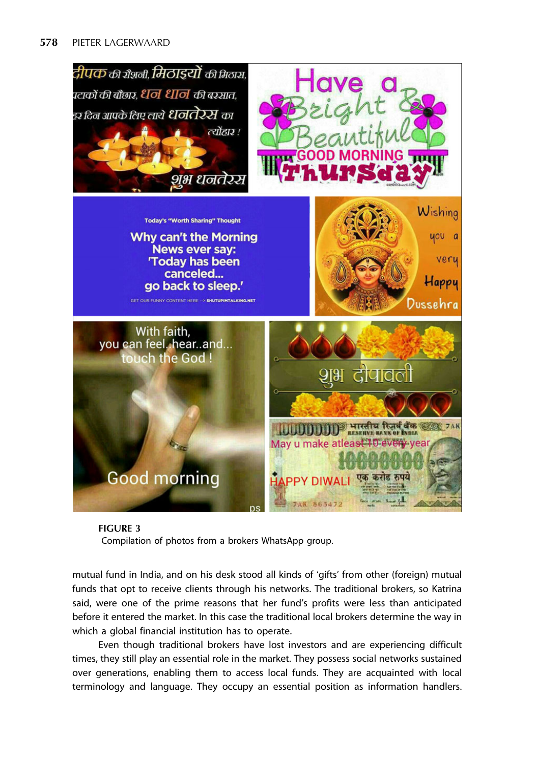<span id="page-15-0"></span>

FIGURE 3 Compilation of photos from a brokers WhatsApp group.

mutual fund in India, and on his desk stood all kinds of 'gifts' from other (foreign) mutual funds that opt to receive clients through his networks. The traditional brokers, so Katrina said, were one of the prime reasons that her fund's profits were less than anticipated before it entered the market. In this case the traditional local brokers determine the way in which a global financial institution has to operate.

Even though traditional brokers have lost investors and are experiencing difficult times, they still play an essential role in the market. They possess social networks sustained over generations, enabling them to access local funds. They are acquainted with local terminology and language. They occupy an essential position as information handlers.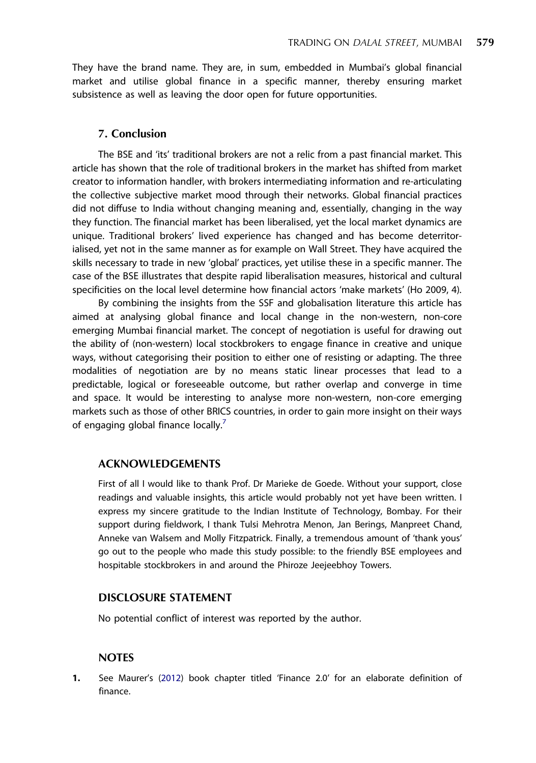They have the brand name. They are, in sum, embedded in Mumbai's global financial market and utilise global finance in a specific manner, thereby ensuring market subsistence as well as leaving the door open for future opportunities.

#### 7. Conclusion

The BSE and 'its' traditional brokers are not a relic from a past financial market. This article has shown that the role of traditional brokers in the market has shifted from market creator to information handler, with brokers intermediating information and re-articulating the collective subjective market mood through their networks. Global financial practices did not diffuse to India without changing meaning and, essentially, changing in the way they function. The financial market has been liberalised, yet the local market dynamics are unique. Traditional brokers' lived experience has changed and has become deterritorialised, yet not in the same manner as for example on Wall Street. They have acquired the skills necessary to trade in new 'global' practices, yet utilise these in a specific manner. The case of the BSE illustrates that despite rapid liberalisation measures, historical and cultural specificities on the local level determine how financial actors 'make markets' (Ho 2009, 4).

By combining the insights from the SSF and globalisation literature this article has aimed at analysing global finance and local change in the non-western, non-core emerging Mumbai financial market. The concept of negotiation is useful for drawing out the ability of (non-western) local stockbrokers to engage finance in creative and unique ways, without categorising their position to either one of resisting or adapting. The three modalities of negotiation are by no means static linear processes that lead to a predictable, logical or foreseeable outcome, but rather overlap and converge in time and space. It would be interesting to analyse more non-western, non-core emerging markets such as those of other BRICS countries, in order to gain more insight on their ways of engaging global finance locally.<sup>[7](#page-17-0)</sup>

#### ACKNOWLEDGEMENTS

First of all I would like to thank Prof. Dr Marieke de Goede. Without your support, close readings and valuable insights, this article would probably not yet have been written. I express my sincere gratitude to the Indian Institute of Technology, Bombay. For their support during fieldwork, I thank Tulsi Mehrotra Menon, Jan Berings, Manpreet Chand, Anneke van Walsem and Molly Fitzpatrick. Finally, a tremendous amount of 'thank yous' go out to the people who made this study possible: to the friendly BSE employees and hospitable stockbrokers in and around the Phiroze Jeejeebhoy Towers.

#### DISCLOSURE STATEMENT

No potential conflict of interest was reported by the author.

### **NOTES**

1. See Maurer's [\(2012\)](#page-18-0) book chapter titled 'Finance 2.0' for an elaborate definition of finance.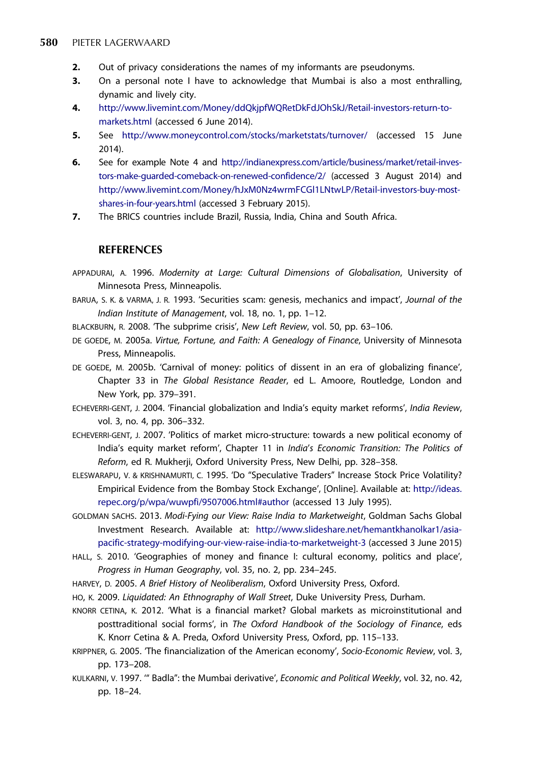- <span id="page-17-0"></span>2. Out of privacy considerations the names of my informants are pseudonyms.
- 3. On a personal note I have to acknowledge that Mumbai is also a most enthralling, dynamic and lively city.
- 4. [http://www.livemint.com/Money/ddQkjpfWQRetDkFdJOhSkJ/Retail-investors-return-to](http://www.livemint.com/Money/ddQkjpfWQRetDkFdJOhSkJ/Retail-investors-return-to-markets.html)[markets.html](http://www.livemint.com/Money/ddQkjpfWQRetDkFdJOhSkJ/Retail-investors-return-to-markets.html) (accessed 6 June 2014).
- 5. See <http://www.moneycontrol.com/stocks/marketstats/turnover/> (accessed 15 June 2014).
- 6. See for example Note 4 and [http://indianexpress.com/article/business/market/retail-inves](http://indianexpress.com/article/business/market/retail-investors-make-guarded-comeback-on-renewed-confidence/2/)[tors-make-guarded-comeback-on-renewed-confidence/2/](http://indianexpress.com/article/business/market/retail-investors-make-guarded-comeback-on-renewed-confidence/2/) (accessed 3 August 2014) and [http://www.livemint.com/Money/hJxM0Nz4wrmFCGl1LNtwLP/Retail-investors-buy-most](http://www.livemint.com/Money/hJxM0Nz4wrmFCGl1LNtwLP/Retail-investors-buy-most-shares-in-four-years.html)[shares-in-four-years.html](http://www.livemint.com/Money/hJxM0Nz4wrmFCGl1LNtwLP/Retail-investors-buy-most-shares-in-four-years.html) (accessed 3 February 2015).
- 7. The BRICS countries include Brazil, Russia, India, China and South Africa.

#### **REFERENCES**

- APPADURAI, A. 1996. Modernity at Large: Cultural Dimensions of Globalisation, University of Minnesota Press, Minneapolis.
- BARUA, S. K. & VARMA, J. R. 1993. 'Securities scam: genesis, mechanics and impact', Journal of the Indian Institute of Management, vol. 18, no. 1, pp. 1–12.
- BLACKBURN, R. 2008. 'The subprime crisis', New Left Review, vol. 50, pp. 63–106.
- DE GOEDE, M. 2005a. Virtue, Fortune, and Faith: A Genealogy of Finance, University of Minnesota Press, Minneapolis.
- DE GOEDE, M. 2005b. 'Carnival of money: politics of dissent in an era of globalizing finance', Chapter 33 in The Global Resistance Reader, ed L. Amoore, Routledge, London and New York, pp. 379–391.
- ECHEVERRI-GENT, J. 2004. 'Financial globalization and India's equity market reforms', India Review, vol. 3, no. 4, pp. 306–332.
- ECHEVERRI-GENT, J. 2007. 'Politics of market micro-structure: towards a new political economy of India's equity market reform', Chapter 11 in India's Economic Transition: The Politics of Reform, ed R. Mukherji, Oxford University Press, New Delhi, pp. 328–358.
- ELESWARAPU, V. & KRISHNAMURTI, C. 1995. 'Do "Speculative Traders" Increase Stock Price Volatility? Empirical Evidence from the Bombay Stock Exchange', [Online]. Available at: [http://ideas.](http://ideas.repec.org/p/wpa/wuwpfi/9507006.html#author) [repec.org/p/wpa/wuwpfi/9507006.html#author](http://ideas.repec.org/p/wpa/wuwpfi/9507006.html#author) (accessed 13 July 1995).
- GOLDMAN SACHS. 2013. Modi-Fying our View: Raise India to Marketweight, Goldman Sachs Global Investment Research. Available at: [http://www.slideshare.net/hemantkhanolkar1/asia](http://www.slideshare.net/hemantkhanolkar1/asia-pacific-strategy-modifying-our-view-raise-india-to-marketweight-3)[pacific-strategy-modifying-our-view-raise-india-to-marketweight-3](http://www.slideshare.net/hemantkhanolkar1/asia-pacific-strategy-modifying-our-view-raise-india-to-marketweight-3) (accessed 3 June 2015)
- HALL, S. 2010. 'Geographies of money and finance I: cultural economy, politics and place', Progress in Human Geography, vol. 35, no. 2, pp. 234–245.
- HARVEY, D. 2005. A Brief History of Neoliberalism, Oxford University Press, Oxford.
- HO, K. 2009. Liquidated: An Ethnography of Wall Street, Duke University Press, Durham.
- KNORR CETINA, K. 2012. 'What is a financial market? Global markets as microinstitutional and posttraditional social forms', in The Oxford Handbook of the Sociology of Finance, eds K. Knorr Cetina & A. Preda, Oxford University Press, Oxford, pp. 115–133.
- KRIPPNER, G. 2005. 'The financialization of the American economy', Socio-Economic Review, vol. 3, pp. 173–208.
- KULKARNI, V. 1997. '" Badla": the Mumbai derivative', Economic and Political Weekly, vol. 32, no. 42, pp. 18–24.